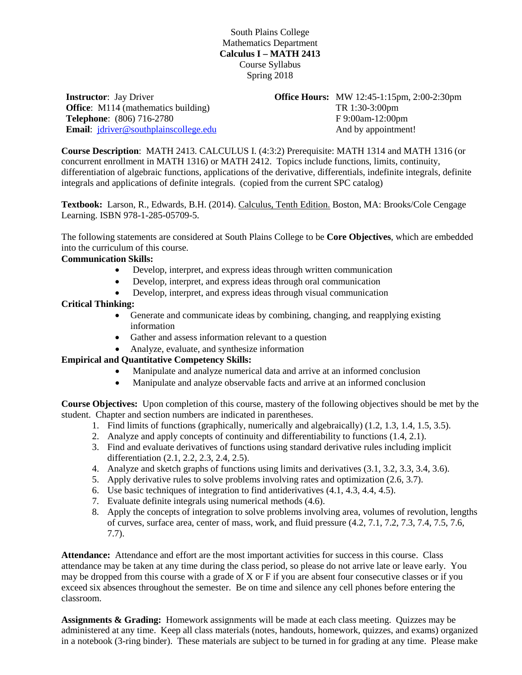South Plains College Mathematics Department **Calculus I – MATH 2413** Course Syllabus Spring 2018

**Instructor**: Jay Driver **Office:** M114 (mathematics building) **Telephone**: (806) 716-2780 **Email**: [jdriver@southplainscollege.edu](mailto:jdriver@southplainscollege.edu) **Office Hours:** MW 12:45-1:15pm, 2:00-2:30pm TR 1:30-3:00pm F 9:00am-12:00pm And by appointment!

**Course Description**: MATH 2413. CALCULUS I. (4:3:2) Prerequisite: MATH 1314 and MATH 1316 (or concurrent enrollment in MATH 1316) or MATH 2412. Topics include functions, limits, continuity, differentiation of algebraic functions, applications of the derivative, differentials, indefinite integrals, definite integrals and applications of definite integrals. (copied from the current SPC catalog)

**Textbook:** Larson, R., Edwards, B.H. (2014). Calculus, Tenth Edition. Boston, MA: Brooks/Cole Cengage Learning. ISBN 978-1-285-05709-5.

The following statements are considered at South Plains College to be **Core Objectives**, which are embedded into the curriculum of this course.

### **Communication Skills:**

- Develop, interpret, and express ideas through written communication
- Develop, interpret, and express ideas through oral communication
- Develop, interpret, and express ideas through visual communication

#### **Critical Thinking:**

- Generate and communicate ideas by combining, changing, and reapplying existing information
- Gather and assess information relevant to a question
- Analyze, evaluate, and synthesize information

#### **Empirical and Quantitative Competency Skills:**

- Manipulate and analyze numerical data and arrive at an informed conclusion
- Manipulate and analyze observable facts and arrive at an informed conclusion

**Course Objectives:** Upon completion of this course, mastery of the following objectives should be met by the student. Chapter and section numbers are indicated in parentheses.

- 1. Find limits of functions (graphically, numerically and algebraically) (1.2, 1.3, 1.4, 1.5, 3.5).
- 2. Analyze and apply concepts of continuity and differentiability to functions (1.4, 2.1).
- 3. Find and evaluate derivatives of functions using standard derivative rules including implicit differentiation (2.1, 2.2, 2.3, 2.4, 2.5).
- 4. Analyze and sketch graphs of functions using limits and derivatives (3.1, 3.2, 3.3, 3.4, 3.6).
- 5. Apply derivative rules to solve problems involving rates and optimization (2.6, 3.7).
- 6. Use basic techniques of integration to find antiderivatives (4.1, 4.3, 4.4, 4.5).
- 7. Evaluate definite integrals using numerical methods (4.6).
- 8. Apply the concepts of integration to solve problems involving area, volumes of revolution, lengths of curves, surface area, center of mass, work, and fluid pressure (4.2, 7.1, 7.2, 7.3, 7.4, 7.5, 7.6, 7.7).

**Attendance:** Attendance and effort are the most important activities for success in this course. Class attendance may be taken at any time during the class period, so please do not arrive late or leave early. You may be dropped from this course with a grade of X or F if you are absent four consecutive classes or if you exceed six absences throughout the semester. Be on time and silence any cell phones before entering the classroom.

**Assignments & Grading:** Homework assignments will be made at each class meeting. Quizzes may be administered at any time. Keep all class materials (notes, handouts, homework, quizzes, and exams) organized in a notebook (3-ring binder). These materials are subject to be turned in for grading at any time. Please make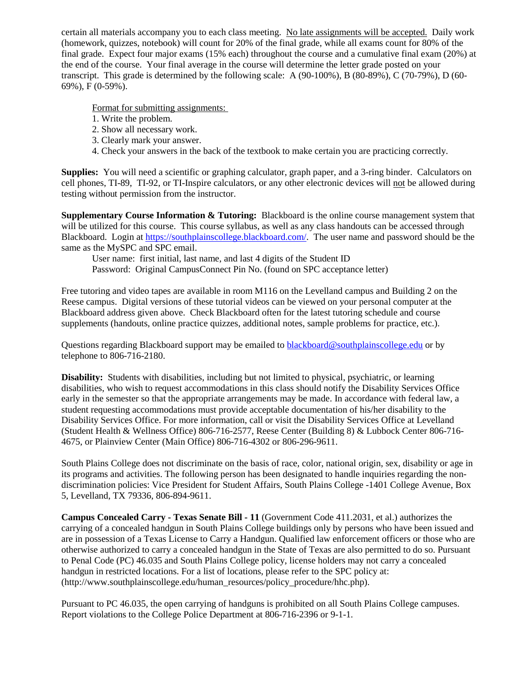certain all materials accompany you to each class meeting. No late assignments will be accepted. Daily work (homework, quizzes, notebook) will count for 20% of the final grade, while all exams count for 80% of the final grade. Expect four major exams (15% each) throughout the course and a cumulative final exam (20%) at the end of the course. Your final average in the course will determine the letter grade posted on your transcript. This grade is determined by the following scale: A (90-100%), B (80-89%), C (70-79%), D (60- 69%), F (0-59%).

Format for submitting assignments:

- 1. Write the problem.
- 2. Show all necessary work.
- 3. Clearly mark your answer.
- 4. Check your answers in the back of the textbook to make certain you are practicing correctly.

**Supplies:** You will need a scientific or graphing calculator, graph paper, and a 3-ring binder. Calculators on cell phones, TI-89, TI-92, or TI-Inspire calculators, or any other electronic devices will not be allowed during testing without permission from the instructor.

**Supplementary Course Information & Tutoring:** Blackboard is the online course management system that will be utilized for this course. This course syllabus, as well as any class handouts can be accessed through Blackboard. Login at [https://southplainscollege.blackboard.com/.](https://southplainscollege.blackboard.com/) The user name and password should be the same as the MySPC and SPC email.

User name: first initial, last name, and last 4 digits of the Student ID Password: Original CampusConnect Pin No. (found on SPC acceptance letter)

Free tutoring and video tapes are available in room M116 on the Levelland campus and Building 2 on the Reese campus. Digital versions of these tutorial videos can be viewed on your personal computer at the Blackboard address given above. Check Blackboard often for the latest tutoring schedule and course supplements (handouts, online practice quizzes, additional notes, sample problems for practice, etc.).

Questions regarding Blackboard support may be emailed to [blackboard@southplainscollege.edu](mailto:blackboard@southplainscollege.edu) or by telephone to 806-716-2180.

**Disability:** Students with disabilities, including but not limited to physical, psychiatric, or learning disabilities, who wish to request accommodations in this class should notify the Disability Services Office early in the semester so that the appropriate arrangements may be made. In accordance with federal law, a student requesting accommodations must provide acceptable documentation of his/her disability to the Disability Services Office. For more information, call or visit the Disability Services Office at Levelland (Student Health & Wellness Office) 806-716-2577, Reese Center (Building 8) & Lubbock Center 806-716- 4675, or Plainview Center (Main Office) 806-716-4302 or 806-296-9611.

South Plains College does not discriminate on the basis of race, color, national origin, sex, disability or age in its programs and activities. The following person has been designated to handle inquiries regarding the nondiscrimination policies: Vice President for Student Affairs, South Plains College -1401 College Avenue, Box 5, Levelland, TX 79336, 806-894-9611.

**Campus Concealed Carry - Texas Senate Bill - 11** (Government Code 411.2031, et al.) authorizes the carrying of a concealed handgun in South Plains College buildings only by persons who have been issued and are in possession of a Texas License to Carry a Handgun. Qualified law enforcement officers or those who are otherwise authorized to carry a concealed handgun in the State of Texas are also permitted to do so. Pursuant to Penal Code (PC) 46.035 and South Plains College policy, license holders may not carry a concealed handgun in restricted locations. For a list of locations, please refer to the SPC policy at: (http://www.southplainscollege.edu/human\_resources/policy\_procedure/hhc.php).

Pursuant to PC 46.035, the open carrying of handguns is prohibited on all South Plains College campuses. Report violations to the College Police Department at 806-716-2396 or 9-1-1.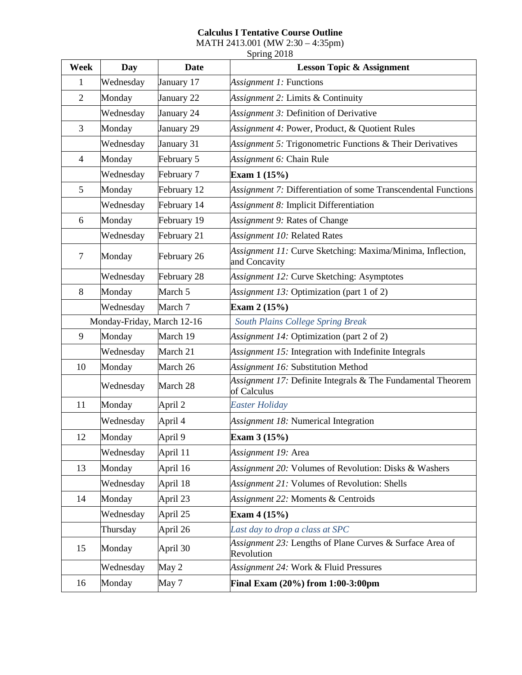# **Calculus I Tentative Course Outline**

MATH 2413.001 (MW 2:30 – 4:35pm)

| Week           | Day                        | <b>Date</b> | <b>Lesson Topic &amp; Assignment</b>                                        |
|----------------|----------------------------|-------------|-----------------------------------------------------------------------------|
| $\mathbf{1}$   | Wednesday                  | January 17  | <i>Assignment 1:</i> Functions                                              |
| $\overline{2}$ | Monday                     | January 22  | Assignment 2: Limits & Continuity                                           |
|                | Wednesday                  | January 24  | Assignment 3: Definition of Derivative                                      |
| 3              | Monday                     | January 29  | Assignment 4: Power, Product, & Quotient Rules                              |
|                | Wednesday                  | January 31  | Assignment 5: Trigonometric Functions & Their Derivatives                   |
| $\overline{4}$ | Monday                     | February 5  | Assignment 6: Chain Rule                                                    |
|                | Wednesday                  | February 7  | Exam $1(15%)$                                                               |
| 5              | Monday                     | February 12 | Assignment 7: Differentiation of some Transcendental Functions              |
|                | Wednesday                  | February 14 | Assignment 8: Implicit Differentiation                                      |
| 6              | Monday                     | February 19 | Assignment 9: Rates of Change                                               |
|                | Wednesday                  | February 21 | Assignment 10: Related Rates                                                |
| $\tau$         | Monday                     | February 26 | Assignment 11: Curve Sketching: Maxima/Minima, Inflection,<br>and Concavity |
|                | Wednesday                  | February 28 | Assignment 12: Curve Sketching: Asymptotes                                  |
| $8\,$          | Monday                     | March 5     | Assignment 13: Optimization (part 1 of 2)                                   |
|                | Wednesday                  | March 7     | Exam $2(15%)$                                                               |
|                | Monday-Friday, March 12-16 |             | South Plains College Spring Break                                           |
| 9              | Monday                     | March 19    | Assignment 14: Optimization (part 2 of 2)                                   |
|                | Wednesday                  | March 21    | Assignment 15: Integration with Indefinite Integrals                        |
| 10             | Monday                     | March 26    | Assignment 16: Substitution Method                                          |
|                | Wednesday                  | March 28    | Assignment 17: Definite Integrals & The Fundamental Theorem<br>of Calculus  |
| 11             | Monday                     | April 2     | Easter Holiday                                                              |
|                | Wednesday                  | April 4     | Assignment 18: Numerical Integration                                        |
| 12             | Monday                     | April 9     | Exam 3 (15%)                                                                |
|                | Wednesday                  | April 11    | Assignment 19: Area                                                         |
| 13             | Monday                     | April 16    | Assignment 20: Volumes of Revolution: Disks & Washers                       |
|                | Wednesday                  | April 18    | Assignment 21: Volumes of Revolution: Shells                                |
| 14             | Monday                     | April 23    | Assignment 22: Moments & Centroids                                          |
|                | Wednesday                  | April 25    | Exam $4(15%)$                                                               |
|                | Thursday                   | April 26    | Last day to drop a class at SPC                                             |
| 15             | Monday                     | April 30    | Assignment 23: Lengths of Plane Curves & Surface Area of<br>Revolution      |
|                | Wednesday                  | May 2       | Assignment 24: Work & Fluid Pressures                                       |
| 16             | Monday                     | May 7       | Final Exam (20%) from 1:00-3:00pm                                           |